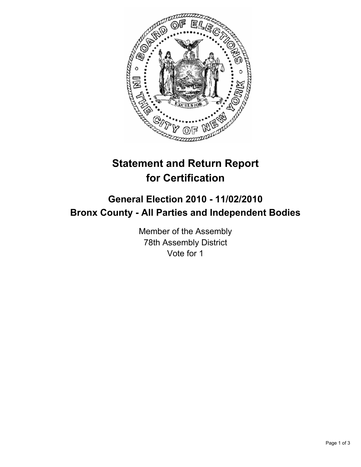

## **Statement and Return Report for Certification**

## **General Election 2010 - 11/02/2010 Bronx County - All Parties and Independent Bodies**

Member of the Assembly 78th Assembly District Vote for 1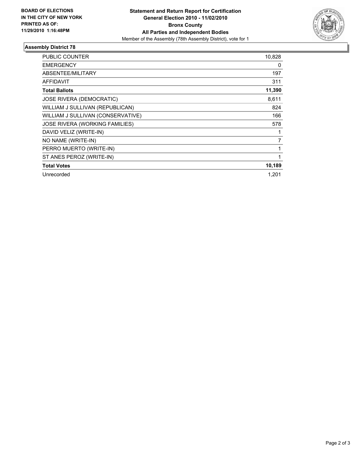

## **Assembly District 78**

| <b>PUBLIC COUNTER</b>             | 10,828 |
|-----------------------------------|--------|
| <b>EMERGENCY</b>                  | 0      |
| ABSENTEE/MILITARY                 | 197    |
| <b>AFFIDAVIT</b>                  | 311    |
| <b>Total Ballots</b>              | 11,390 |
| JOSE RIVERA (DEMOCRATIC)          | 8,611  |
| WILLIAM J SULLIVAN (REPUBLICAN)   | 824    |
| WILLIAM J SULLIVAN (CONSERVATIVE) | 166    |
| JOSE RIVERA (WORKING FAMILIES)    | 578    |
| DAVID VELIZ (WRITE-IN)            | 1      |
| NO NAME (WRITE-IN)                | 7      |
| PERRO MUERTO (WRITE-IN)           | 1      |
| ST ANES PEROZ (WRITE-IN)          | 1      |
| <b>Total Votes</b>                | 10,189 |
| Unrecorded                        | 1,201  |